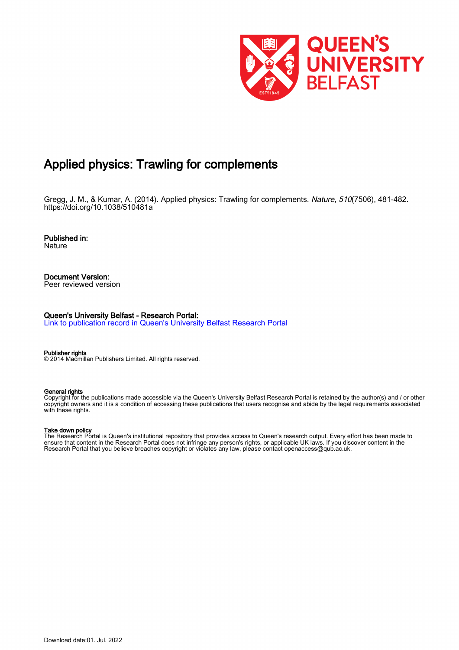

# Applied physics: Trawling for complements

Gregg, J. M., & Kumar, A. (2014). Applied physics: Trawling for complements. Nature, 510(7506), 481-482. <https://doi.org/10.1038/510481a>

Published in: Nature

Document Version: Peer reviewed version

Queen's University Belfast - Research Portal:

[Link to publication record in Queen's University Belfast Research Portal](https://pure.qub.ac.uk/en/publications/433e1f52-a998-43d4-b082-210551c5bfb2)

Publisher rights

© 2014 Macmillan Publishers Limited. All rights reserved.

#### General rights

Copyright for the publications made accessible via the Queen's University Belfast Research Portal is retained by the author(s) and / or other copyright owners and it is a condition of accessing these publications that users recognise and abide by the legal requirements associated with these rights.

#### Take down policy

The Research Portal is Queen's institutional repository that provides access to Queen's research output. Every effort has been made to ensure that content in the Research Portal does not infringe any person's rights, or applicable UK laws. If you discover content in the Research Portal that you believe breaches copyright or violates any law, please contact openaccess@qub.ac.uk.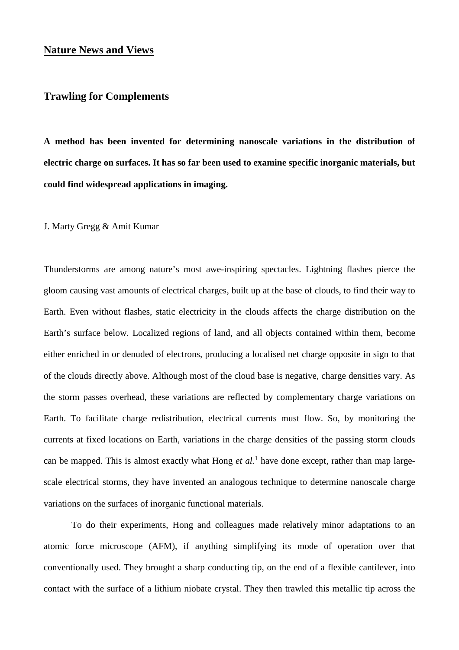## **Nature News and Views**

## **Trawling for Complements**

**A method has been invented for determining nanoscale variations in the distribution of electric charge on surfaces. It has so far been used to examine specific inorganic materials, but could find widespread applications in imaging.**

J. Marty Gregg & Amit Kumar

Thunderstorms are among nature's most awe-inspiring spectacles. Lightning flashes pierce the gloom causing vast amounts of electrical charges, built up at the base of clouds, to find their way to Earth. Even without flashes, static electricity in the clouds affects the charge distribution on the Earth's surface below. Localized regions of land, and all objects contained within them, become either enriched in or denuded of electrons, producing a localised net charge opposite in sign to that of the clouds directly above. Although most of the cloud base is negative, charge densities vary. As the storm passes overhead, these variations are reflected by complementary charge variations on Earth. To facilitate charge redistribution, electrical currents must flow. So, by monitoring the currents at fixed locations on Earth, variations in the charge densities of the passing storm clouds can be mapped. This is almost exactly what Hong *et al.*<sup>1</sup> have done except, rather than map largescale electrical storms, they have invented an analogous technique to determine nanoscale charge variations on the surfaces of inorganic functional materials.

To do their experiments, Hong and colleagues made relatively minor adaptations to an atomic force microscope (AFM), if anything simplifying its mode of operation over that conventionally used. They brought a sharp conducting tip, on the end of a flexible cantilever, into contact with the surface of a lithium niobate crystal. They then trawled this metallic tip across the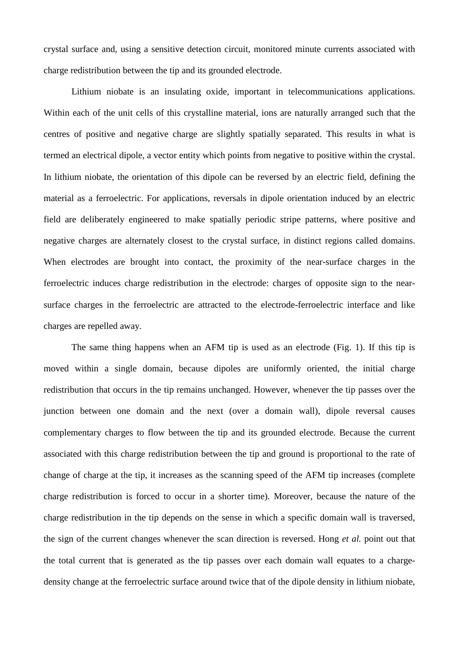crystal surface and, using a sensitive detection circuit, monitored minute currents associated with charge redistribution between the tip and its grounded electrode.

Lithium niobate is an insulating oxide, important in telecommunications applications. Within each of the unit cells of this crystalline material, ions are naturally arranged such that the centres of positive and negative charge are slightly spatially separated. This results in what is termed an electrical dipole, a vector entity which points from negative to positive within the crystal. In lithium niobate, the orientation of this dipole can be reversed by an electric field, defining the material as a ferroelectric. For applications, reversals in dipole orientation induced by an electric field are deliberately engineered to make spatially periodic stripe patterns, where positive and negative charges are alternately closest to the crystal surface, in distinct regions called domains. When electrodes are brought into contact, the proximity of the near-surface charges in the ferroelectric induces charge redistribution in the electrode: charges of opposite sign to the nearsurface charges in the ferroelectric are attracted to the electrode-ferroelectric interface and like charges are repelled away.

The same thing happens when an AFM tip is used as an electrode (Fig. 1). If this tip is moved within a single domain, because dipoles are uniformly oriented, the initial charge redistribution that occurs in the tip remains unchanged. However, whenever the tip passes over the junction between one domain and the next (over a domain wall), dipole reversal causes complementary charges to flow between the tip and its grounded electrode. Because the current associated with this charge redistribution between the tip and ground is proportional to the rate of change of charge at the tip, it increases as the scanning speed of the AFM tip increases (complete charge redistribution is forced to occur in a shorter time). Moreover, because the nature of the charge redistribution in the tip depends on the sense in which a specific domain wall is traversed, the sign of the current changes whenever the scan direction is reversed. Hong *et al.* point out that the total current that is generated as the tip passes over each domain wall equates to a chargedensity change at the ferroelectric surface around twice that of the dipole density in lithium niobate,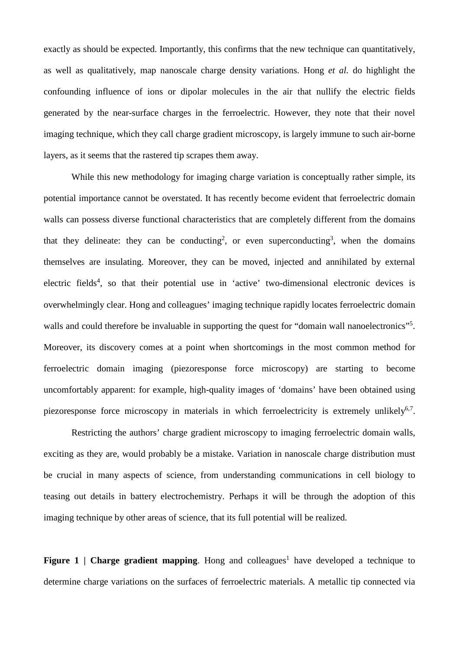exactly as should be expected. Importantly, this confirms that the new technique can quantitatively, as well as qualitatively, map nanoscale charge density variations. Hong *et al.* do highlight the confounding influence of ions or dipolar molecules in the air that nullify the electric fields generated by the near-surface charges in the ferroelectric. However, they note that their novel imaging technique, which they call charge gradient microscopy, is largely immune to such air-borne layers, as it seems that the rastered tip scrapes them away.

While this new methodology for imaging charge variation is conceptually rather simple, its potential importance cannot be overstated. It has recently become evident that ferroelectric domain walls can possess diverse functional characteristics that are completely different from the domains that they delineate: they can be conducting<sup>2</sup>, or even superconducting<sup>3</sup>, when the domains themselves are insulating. Moreover, they can be moved, injected and annihilated by external electric fields<sup>4</sup>, so that their potential use in 'active' two-dimensional electronic devices is overwhelmingly clear. Hong and colleagues' imaging technique rapidly locates ferroelectric domain walls and could therefore be invaluable in supporting the quest for "domain wall nanoelectronics"<sup>5</sup>. Moreover, its discovery comes at a point when shortcomings in the most common method for ferroelectric domain imaging (piezoresponse force microscopy) are starting to become uncomfortably apparent: for example, high-quality images of 'domains' have been obtained using piezoresponse force microscopy in materials in which ferroelectricity is extremely unlikely<sup>6,7</sup>.

Restricting the authors' charge gradient microscopy to imaging ferroelectric domain walls, exciting as they are, would probably be a mistake. Variation in nanoscale charge distribution must be crucial in many aspects of science, from understanding communications in cell biology to teasing out details in battery electrochemistry. Perhaps it will be through the adoption of this imaging technique by other areas of science, that its full potential will be realized.

**Figure 1** | Charge gradient mapping. Hong and colleagues<sup>1</sup> have developed a technique to determine charge variations on the surfaces of ferroelectric materials. A metallic tip connected via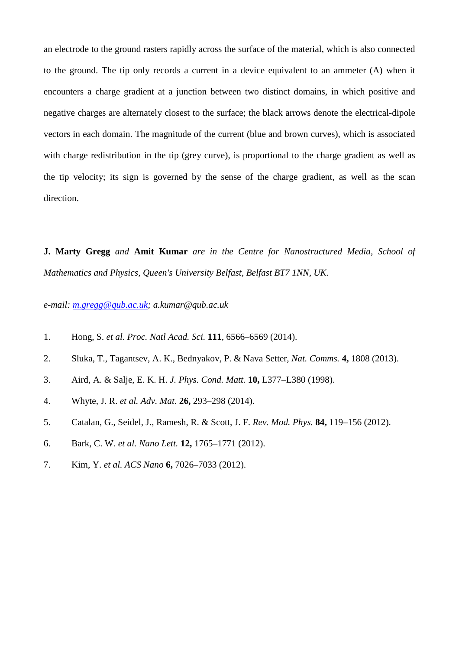an electrode to the ground rasters rapidly across the surface of the material, which is also connected to the ground. The tip only records a current in a device equivalent to an ammeter (A) when it encounters a charge gradient at a junction between two distinct domains, in which positive and negative charges are alternately closest to the surface; the black arrows denote the electrical-dipole vectors in each domain. The magnitude of the current (blue and brown curves), which is associated with charge redistribution in the tip (grey curve), is proportional to the charge gradient as well as the tip velocity; its sign is governed by the sense of the charge gradient, as well as the scan direction.

**J. Marty Gregg** *and* **Amit Kumar** *are in the Centre for Nanostructured Media, School of Mathematics and Physics, Queen's University Belfast, Belfast BT7 1NN, UK.*

## *e-mail: [m.gregg@qub.ac.uk;](mailto:m.gregg@qub.ac.uk) a.kumar@qub.ac.uk*

- 1. Hong, S. *et al. Proc. Natl Acad. Sci.* **111**, 6566–6569 (2014).
- 2. Sluka, T., Tagantsev, A. K., Bednyakov, P. & Nava Setter, *Nat. Comms.* **4,** 1808 (2013).
- 3. Aird, A. & Salje, E. K. H. *J. Phys. Cond. Matt.* **10,** L377–L380 (1998).
- 4. Whyte, J. R. *et al. Adv. Mat.* **26,** 293–298 (2014).
- 5. Catalan, G., Seidel, J., Ramesh, R. & Scott, J. F. *Rev. Mod. Phys.* **84,** 119–156 (2012).
- 6. Bark, C. W. *et al. Nano Lett.* **12,** 1765–1771 (2012).
- 7. Kim, Y. *et al. ACS Nano* **6,** 7026–7033 (2012).